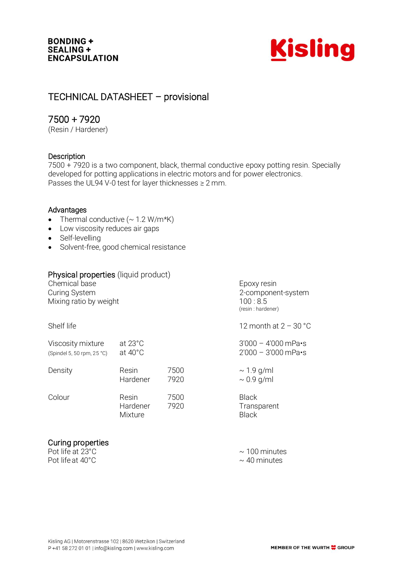

# TECHNICAL DATASHEET – provisional

## 7500 + 7920

(Resin / Hardener)

### **Description**

7500 + 7920 is a two component, black, thermal conductive epoxy potting resin. Specially developed for potting applications in electric motors and for power electronics. Passes the UL94 V-0 test for layer thicknesses ≥ 2 mm.

### Advantages

- Thermal conductive  $( \sim 1.2 \text{ W/m*K} )$
- Low viscosity reduces air gaps
- Self-levelling
- Solvent-free, good chemical resistance

### Physical properties (liquid product)

Chemical base Epoxy resin Curing System<br>
Mixing ratio by weight<br>
2-component-system<br>
2019.8.5 Mixing ratio by weight

Shelf life  $\sim$  12 month at  $2 - 30$  °C

| Viscosity mixture          | at $23^{\circ}$ C            |              | $3'000 - 4'000$ mPa $\cdot$ s               |
|----------------------------|------------------------------|--------------|---------------------------------------------|
| (Spindel 5, 50 rpm, 25 °C) | at $40^{\circ}$ C            |              | $2'000 - 3'000$ mPa $\cdot$ s               |
| Density                    | Resin                        | 7500         | $\sim$ 1.9 g/ml                             |
|                            | Hardener                     | 7920         | $\sim 0.9$ g/ml                             |
| Colour                     | Resin<br>Hardener<br>Mixture | 7500<br>7920 | <b>Black</b><br>Transparent<br><b>Black</b> |

### Curing properties

Pot life at  $23^{\circ}$ C  $\sim$  100 minutes Pot life at  $40^{\circ}$ C  $\sim$  40 minutes

(resin : hardener)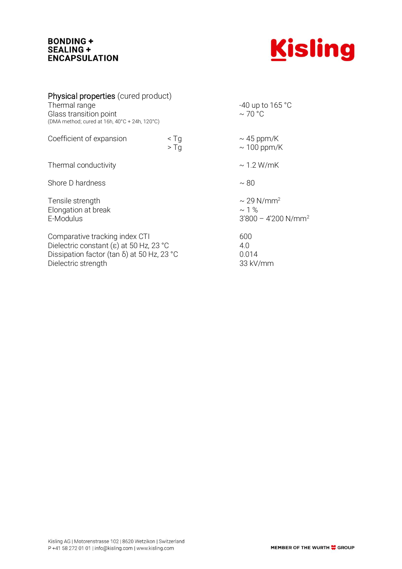### **BONDING +** SEALING + **ENCAPSULATION**



| Physical properties (cured product)<br>Thermal range<br>Glass transition point<br>(DMA method; cured at 16h, 40°C + 24h, 120°C)                                      |                                 | -40 up to 165 °C<br>$\sim$ 70 °C                                    |
|----------------------------------------------------------------------------------------------------------------------------------------------------------------------|---------------------------------|---------------------------------------------------------------------|
| Coefficient of expansion                                                                                                                                             | $\leq$ Tg<br>$>$ Tq             | $\sim$ 45 ppm/K<br>$\sim$ 100 ppm/K                                 |
| Thermal conductivity                                                                                                                                                 |                                 | $\sim$ 1.2 W/mK                                                     |
| Shore D hardness                                                                                                                                                     |                                 | $\sim 80$                                                           |
| Tensile strength<br>Elongation at break<br>E-Modulus                                                                                                                 |                                 | $\sim$ 29 N/mm <sup>2</sup><br>$\sim$ 1 %<br>$3'800 - 4'200 N/mm^2$ |
| Comparative tracking index CTI<br>Dielectric constant ( $\varepsilon$ ) at 50 Hz, 23 °C<br>Dissipation factor (tan $\delta$ ) at 50 Hz, 23 °C<br>Dielectric strength | 600<br>4.0<br>0.014<br>33 kV/mm |                                                                     |